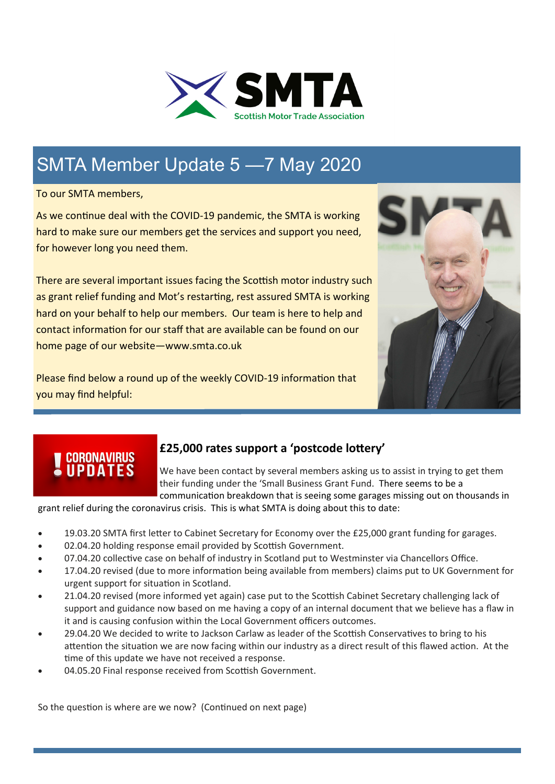

## SMTA Member Update 5 —7 May 2020

To our SMTA members,

As we continue deal with the COVID-19 pandemic, the SMTA is working hard to make sure our members get the services and support you need, for however long you need them.

There are several important issues facing the Scottish motor industry such as grant relief funding and Mot's restarting, rest assured SMTA is working hard on your behalf to help our members. Our team is here to help and contact information for our staff that are available can be found on our home page of our website—www.smta.co.uk

Please find below a round up of the weekly COVID-19 information that you may find helpful:



## **CORONAVIRUS<br>UPDATES**

## **£25,000 rates support a 'postcode loƩery'**

We have been contact by several members asking us to assist in trying to get them their funding under the 'Small Business Grant Fund. There seems to be a communication breakdown that is seeing some garages missing out on thousands in

grant relief during the coronavirus crisis. This is what SMTA is doing about this to date:

- 19.03.20 SMTA first letter to Cabinet Secretary for Economy over the £25,000 grant funding for garages.
- 02.04.20 holding response email provided by Scottish Government.
- 07.04.20 collective case on behalf of industry in Scotland put to Westminster via Chancellors Office.
- 17.04.20 revised (due to more information being available from members) claims put to UK Government for urgent support for situation in Scotland.
- 21.04.20 revised (more informed yet again) case put to the Scottish Cabinet Secretary challenging lack of support and guidance now based on me having a copy of an internal document that we believe has a flaw in it and is causing confusion within the Local Government officers outcomes.
- 29.04.20 We decided to write to Jackson Carlaw as leader of the Scottish Conservatives to bring to his attention the situation we are now facing within our industry as a direct result of this flawed action. At the time of this update we have not received a response.
- 04.05.20 Final response received from Scottish Government.

So the question is where are we now? (Continued on next page)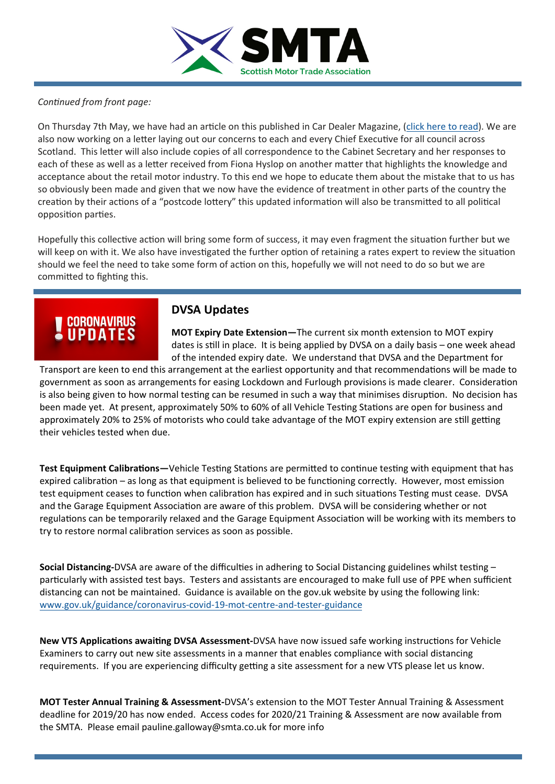

#### *ConƟnued from front page:*

On Thursday 7th May, we have had an article on this published in Car Dealer Magazine, ([click here to read\)](https://cardealermagazine.co.uk/publish/smta-labels-covid-19-grant-relief-scotland-postcode-lottery/191787). We are also now working on a letter laying out our concerns to each and every Chief Executive for all council across Scotland. This letter will also include copies of all correspondence to the Cabinet Secretary and her responses to each of these as well as a letter received from Fiona Hyslop on another matter that highlights the knowledge and acceptance about the retail motor industry. To this end we hope to educate them about the mistake that to us has so obviously been made and given that we now have the evidence of treatment in other parts of the country the creation by their actions of a "postcode lottery" this updated information will also be transmitted to all political opposition parties.

Hopefully this collective action will bring some form of success, it may even fragment the situation further but we will keep on with it. We also have investigated the further option of retaining a rates expert to review the situation should we feel the need to take some form of action on this, hopefully we will not need to do so but we are committed to fighting this.

# **CORONAVIRUS<br>UPDATES**

#### **DVSA Updates**

**MOT Expiry Date Extension—**The current six month extension to MOT expiry dates is sƟll in place. It is being applied by DVSA on a daily basis – one week ahead of the intended expiry date. We understand that DVSA and the Department for

Transport are keen to end this arrangement at the earliest opportunity and that recommendations will be made to government as soon as arrangements for easing Lockdown and Furlough provisions is made clearer. Consideration is also being given to how normal testing can be resumed in such a way that minimises disruption. No decision has been made yet. At present, approximately 50% to 60% of all Vehicle Testing Stations are open for business and approximately 20% to 25% of motorists who could take advantage of the MOT expiry extension are still getting their vehicles tested when due.

**Test Equipment Calibrations—Vehicle Testing Stations are permitted to continue testing with equipment that has** expired calibration – as long as that equipment is believed to be functioning correctly. However, most emission test equipment ceases to function when calibration has expired and in such situations Testing must cease. DVSA and the Garage Equipment Association are aware of this problem. DVSA will be considering whether or not regulations can be temporarily relaxed and the Garage Equipment Association will be working with its members to try to restore normal calibration services as soon as possible.

**Social Distancing**-DVSA are aware of the difficulties in adhering to Social Distancing guidelines whilst testing – particularly with assisted test bays. Testers and assistants are encouraged to make full use of PPE when sufficient distancing can not be maintained. Guidance is available on the gov.uk website by using the following link: [www.gov.uk/guidance/coronavirus](https://www.gov.uk/guidance/coronavirus-covid-19-mot-centre-and-tester-guidance)‐covid‐19‐mot‐centre‐and‐tester‐guidance

**New VTS Applications awaiting DVSA Assessment-DVSA have now issued safe working instructions for Vehicle** Examiners to carry out new site assessments in a manner that enables compliance with social distancing requirements. If you are experiencing difficulty getting a site assessment for a new VTS please let us know.

**MOT Tester Annual Training & Assessment‐**DVSA's extension to the MOT Tester Annual Training & Assessment deadline for 2019/20 has now ended. Access codes for 2020/21 Training & Assessment are now available from the SMTA. Please email [pauline.galloway@smta.co.uk](mailto:pauline.galloway@smta.co.uk) for more info